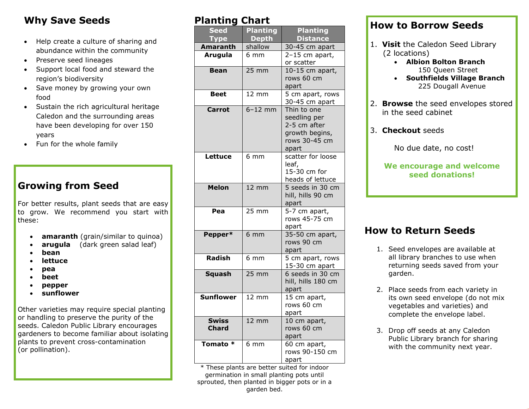# **Why Save Seeds**

- Help create a culture of sharing and abundance within the community
- Preserve seed lineages
- Support local food and steward the region's biodiversity
- Save money by growing your own food
- Sustain the rich agricultural heritage Caledon and the surrounding areas have been developing for over 150 years
- Fun for the whole family

# **Growing from Seed**

For better results, plant seeds that are easy to grow. We recommend you start with these:

- **amaranth** (grain/similar to quinoa)
- **arugula** (dark green salad leaf)
- **bean**
- **lettuce**
- **pea**
- **beet**
- **pepper**
- **sunflower**

Other varieties may require special planting or handling to preserve the purity of the seeds. Caledon Public Library encourages gardeners to become familiar about isolating plants to prevent cross-contamination (or pollination).

### **Planting Chart**

| <b>Seed</b>                  | <b>Planting</b> | <b>Planting</b>                                                                         |
|------------------------------|-----------------|-----------------------------------------------------------------------------------------|
| <b>Type</b>                  | <b>Depth</b>    | <b>Distance</b>                                                                         |
| Amaranth                     | shallow         | 30-45 cm apart                                                                          |
| <b>Arugula</b>               | $6 \text{ mm}$  | 2-15 cm apart,<br>or scatter                                                            |
| <b>Bean</b>                  | 25 mm           | 10-15 cm apart,<br>rows 60 cm<br>apart                                                  |
| <b>Beet</b>                  | 12 mm           | 5 cm apart, rows<br>30-45 cm apart                                                      |
| <b>Carrot</b>                | $6-12$ mm       | Thin to one<br>seedling per<br>2-5 cm after<br>growth begins,<br>rows 30-45 cm<br>apart |
| Lettuce                      | $6 \text{ mm}$  | scatter for loose<br>leaf,<br>15-30 cm for<br>heads of lettuce                          |
| <b>Melon</b>                 | $12 \text{ mm}$ | 5 seeds in 30 cm<br>hill, hills 90 cm<br>apart                                          |
| Pea                          | 25 mm           | $\overline{5-7}$ cm apart,<br>rows 45-75 cm<br>apart                                    |
| Pepper*                      | 6 <sub>mm</sub> | 35-50 cm apart,<br>rows 90 cm<br>apart                                                  |
| Radish                       | 6 mm            | 5 cm apart, rows<br>15-30 cm apart                                                      |
| <b>Squash</b>                | 25 mm           | 6 seeds in 30 cm<br>hill, hills 180 cm<br>apart                                         |
| <b>Sunflower</b>             | $12 \text{ mm}$ | 15 cm apart,<br>rows 60 cm<br>apart                                                     |
| <b>Swiss</b><br><b>Chard</b> | 12 mm           | 10 cm apart,<br>rows 60 cm<br>apart                                                     |
| Tomato *                     | 6 mm            | 60 cm apart,<br>rows 90-150 cm<br>apart                                                 |

\* These plants are better suited for indoor germination in small planting pots until sprouted, then planted in bigger pots or in a garden bed.

### **How to Borrow Seeds**

- 1. **Visit** the Caledon Seed Library (2 locations)
	- **Albion Bolton Branch** 150 Queen Street
	- **Southfields Village Branch** 225 Dougall Avenue
- 2. **Browse** the seed envelopes stored in the seed cabinet
- 3. **Checkout** seeds

No due date, no cost!

#### **We encourage and welcome seed donations!**

### **How to Return Seeds**

- 1. Seed envelopes are available at all library branches to use when returning seeds saved from your garden.
- 2. Place seeds from each variety in its own seed envelope (do not mix vegetables and varieties) and complete the envelope label.
- 3. Drop off seeds at any Caledon Public Library branch for sharing with the community next year.